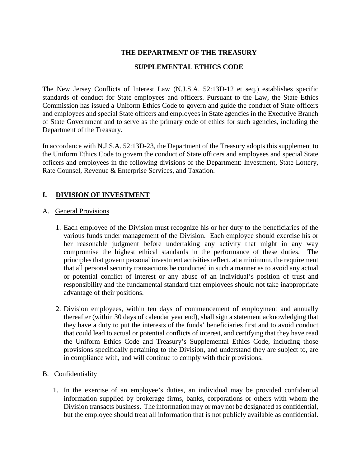## **THE DEPARTMENT OF THE TREASURY**

### **SUPPLEMENTAL ETHICS CODE**

The New Jersey Conflicts of Interest Law (N.J.S.A. 52:13D-12 et seq.) establishes specific standards of conduct for State employees and officers. Pursuant to the Law, the State Ethics Commission has issued a Uniform Ethics Code to govern and guide the conduct of State officers and employees and special State officers and employees in State agencies in the Executive Branch of State Government and to serve as the primary code of ethics for such agencies, including the Department of the Treasury.

In accordance with N.J.S.A. 52:13D-23, the Department of the Treasury adopts this supplement to the Uniform Ethics Code to govern the conduct of State officers and employees and special State officers and employees in the following divisions of the Department: Investment, State Lottery, Rate Counsel, Revenue & Enterprise Services, and Taxation.

## **I. DIVISION OF INVESTMENT**

#### A. General Provisions

- 1. Each employee of the Division must recognize his or her duty to the beneficiaries of the various funds under management of the Division. Each employee should exercise his or her reasonable judgment before undertaking any activity that might in any way compromise the highest ethical standards in the performance of these duties. The principles that govern personal investment activities reflect, at a minimum, the requirement that all personal security transactions be conducted in such a manner as to avoid any actual or potential conflict of interest or any abuse of an individual's position of trust and responsibility and the fundamental standard that employees should not take inappropriate advantage of their positions.
- 2. Division employees, within ten days of commencement of employment and annually thereafter (within 30 days of calendar year end), shall sign a statement acknowledging that they have a duty to put the interests of the funds' beneficiaries first and to avoid conduct that could lead to actual or potential conflicts of interest, and certifying that they have read the Uniform Ethics Code and Treasury's Supplemental Ethics Code, including those provisions specifically pertaining to the Division, and understand they are subject to, are in compliance with, and will continue to comply with their provisions.

#### B. Confidentiality

1. In the exercise of an employee's duties, an individual may be provided confidential information supplied by brokerage firms, banks, corporations or others with whom the Division transacts business. The information may or may not be designated as confidential, but the employee should treat all information that is not publicly available as confidential.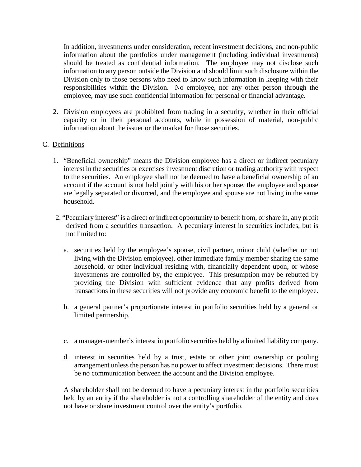In addition, investments under consideration, recent investment decisions, and non-public information about the portfolios under management (including individual investments) should be treated as confidential information. The employee may not disclose such information to any person outside the Division and should limit such disclosure within the Division only to those persons who need to know such information in keeping with their responsibilities within the Division. No employee, nor any other person through the employee, may use such confidential information for personal or financial advantage.

2. Division employees are prohibited from trading in a security, whether in their official capacity or in their personal accounts, while in possession of material, non-public information about the issuer or the market for those securities.

### C. Definitions

- 1. "Beneficial ownership" means the Division employee has a direct or indirect pecuniary interest in the securities or exercises investment discretion or trading authority with respect to the securities. An employee shall not be deemed to have a beneficial ownership of an account if the account is not held jointly with his or her spouse, the employee and spouse are legally separated or divorced, and the employee and spouse are not living in the same household.
- 2. "Pecuniary interest" is a direct or indirect opportunity to benefit from, or share in, any profit derived from a securities transaction. A pecuniary interest in securities includes, but is not limited to:
	- a. securities held by the employee's spouse, civil partner, minor child (whether or not living with the Division employee), other immediate family member sharing the same household, or other individual residing with, financially dependent upon, or whose investments are controlled by, the employee. This presumption may be rebutted by providing the Division with sufficient evidence that any profits derived from transactions in these securities will not provide any economic benefit to the employee.
	- b. a general partner's proportionate interest in portfolio securities held by a general or limited partnership.
	- c. a manager-member's interest in portfolio securities held by a limited liability company.
	- d. interest in securities held by a trust, estate or other joint ownership or pooling arrangement unless the person has no power to affect investment decisions. There must be no communication between the account and the Division employee.

A shareholder shall not be deemed to have a pecuniary interest in the portfolio securities held by an entity if the shareholder is not a controlling shareholder of the entity and does not have or share investment control over the entity's portfolio.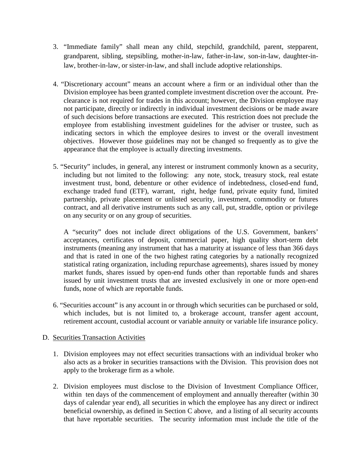- 3. "Immediate family" shall mean any child, stepchild, grandchild, parent, stepparent, grandparent, sibling, stepsibling, mother-in-law, father-in-law, son-in-law, daughter-inlaw, brother-in-law, or sister-in-law, and shall include adoptive relationships.
- 4. "Discretionary account" means an account where a firm or an individual other than the Division employee has been granted complete investment discretion over the account. Preclearance is not required for trades in this account; however, the Division employee may not participate, directly or indirectly in individual investment decisions or be made aware of such decisions before transactions are executed. This restriction does not preclude the employee from establishing investment guidelines for the adviser or trustee, such as indicating sectors in which the employee desires to invest or the overall investment objectives. However those guidelines may not be changed so frequently as to give the appearance that the employee is actually directing investments.
- 5. "Security" includes, in general, any interest or instrument commonly known as a security, including but not limited to the following: any note, stock, treasury stock, real estate investment trust, bond, debenture or other evidence of indebtedness, closed-end fund, exchange traded fund (ETF), warrant, right, hedge fund, private equity fund, limited partnership, private placement or unlisted security, investment, commodity or futures contract, and all derivative instruments such as any call, put, straddle, option or privilege on any security or on any group of securities.

A "security" does not include direct obligations of the U.S. Government, bankers' acceptances, certificates of deposit, commercial paper, high quality short-term debt instruments (meaning any instrument that has a maturity at issuance of less than 366 days and that is rated in one of the two highest rating categories by a nationally recognized statistical rating organization, including repurchase agreements), shares issued by money market funds, shares issued by open-end funds other than reportable funds and shares issued by unit investment trusts that are invested exclusively in one or more open-end funds, none of which are reportable funds.

6. "Securities account" is any account in or through which securities can be purchased or sold, which includes, but is not limited to, a brokerage account, transfer agent account, retirement account, custodial account or variable annuity or variable life insurance policy.

## D. Securities Transaction Activities

- 1. Division employees may not effect securities transactions with an individual broker who also acts as a broker in securities transactions with the Division. This provision does not apply to the brokerage firm as a whole.
- 2. Division employees must disclose to the Division of Investment Compliance Officer, within ten days of the commencement of employment and annually thereafter (within 30 days of calendar year end), all securities in which the employee has any direct or indirect beneficial ownership, as defined in Section C above, and a listing of all security accounts that have reportable securities. The security information must include the title of the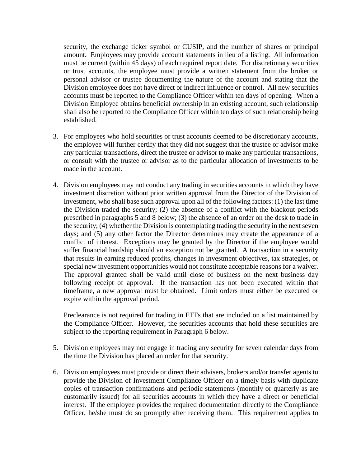security, the exchange ticker symbol or CUSIP, and the number of shares or principal amount. Employees may provide account statements in lieu of a listing. All information must be current (within 45 days) of each required report date. For discretionary securities or trust accounts, the employee must provide a written statement from the broker or personal advisor or trustee documenting the nature of the account and stating that the Division employee does not have direct or indirect influence or control. All new securities accounts must be reported to the Compliance Officer within ten days of opening. When a Division Employee obtains beneficial ownership in an existing account, such relationship shall also be reported to the Compliance Officer within ten days of such relationship being established.

- 3. For employees who hold securities or trust accounts deemed to be discretionary accounts, the employee will further certify that they did not suggest that the trustee or advisor make any particular transactions, direct the trustee or advisor to make any particular transactions, or consult with the trustee or advisor as to the particular allocation of investments to be made in the account.
- 4. Division employees may not conduct any trading in securities accounts in which they have investment discretion without prior written approval from the Director of the Division of Investment, who shall base such approval upon all of the following factors: (1) the last time the Division traded the security; (2) the absence of a conflict with the blackout periods prescribed in paragraphs 5 and 8 below; (3) the absence of an order on the desk to trade in the security; (4) whether the Division is contemplating trading the security in the next seven days; and (5) any other factor the Director determines may create the appearance of a conflict of interest. Exceptions may be granted by the Director if the employee would suffer financial hardship should an exception not be granted. A transaction in a security that results in earning reduced profits, changes in investment objectives, tax strategies, or special new investment opportunities would not constitute acceptable reasons for a waiver. The approval granted shall be valid until close of business on the next business day following receipt of approval. If the transaction has not been executed within that timeframe, a new approval must be obtained. Limit orders must either be executed or expire within the approval period.

Preclearance is not required for trading in ETFs that are included on a list maintained by the Compliance Officer. However, the securities accounts that hold these securities are subject to the reporting requirement in Paragraph 6 below.

- 5. Division employees may not engage in trading any security for seven calendar days from the time the Division has placed an order for that security.
- 6. Division employees must provide or direct their advisers, brokers and/or transfer agents to provide the Division of Investment Compliance Officer on a timely basis with duplicate copies of transaction confirmations and periodic statements (monthly or quarterly as are customarily issued) for all securities accounts in which they have a direct or beneficial interest. If the employee provides the required documentation directly to the Compliance Officer, he/she must do so promptly after receiving them. This requirement applies to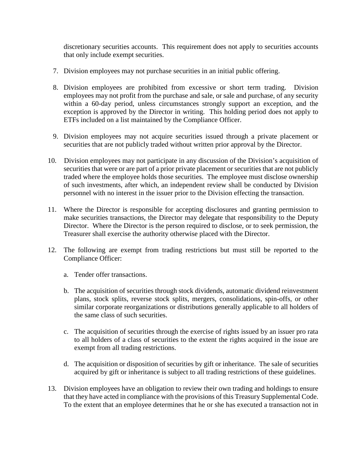discretionary securities accounts. This requirement does not apply to securities accounts that only include exempt securities.

- 7. Division employees may not purchase securities in an initial public offering.
- 8. Division employees are prohibited from excessive or short term trading. Division employees may not profit from the purchase and sale, or sale and purchase, of any security within a 60-day period, unless circumstances strongly support an exception, and the exception is approved by the Director in writing. This holding period does not apply to ETFs included on a list maintained by the Compliance Officer.
- 9. Division employees may not acquire securities issued through a private placement or securities that are not publicly traded without written prior approval by the Director.
- 10. Division employees may not participate in any discussion of the Division's acquisition of securities that were or are part of a prior private placement or securities that are not publicly traded where the employee holds those securities. The employee must disclose ownership of such investments, after which, an independent review shall be conducted by Division personnel with no interest in the issuer prior to the Division effecting the transaction.
- 11. Where the Director is responsible for accepting disclosures and granting permission to make securities transactions, the Director may delegate that responsibility to the Deputy Director. Where the Director is the person required to disclose, or to seek permission, the Treasurer shall exercise the authority otherwise placed with the Director.
- 12. The following are exempt from trading restrictions but must still be reported to the Compliance Officer:
	- a. Tender offer transactions.
	- b. The acquisition of securities through stock dividends, automatic dividend reinvestment plans, stock splits, reverse stock splits, mergers, consolidations, spin-offs, or other similar corporate reorganizations or distributions generally applicable to all holders of the same class of such securities.
	- c. The acquisition of securities through the exercise of rights issued by an issuer pro rata to all holders of a class of securities to the extent the rights acquired in the issue are exempt from all trading restrictions.
	- d. The acquisition or disposition of securities by gift or inheritance. The sale of securities acquired by gift or inheritance is subject to all trading restrictions of these guidelines.
- 13. Division employees have an obligation to review their own trading and holdings to ensure that they have acted in compliance with the provisions of this Treasury Supplemental Code. To the extent that an employee determines that he or she has executed a transaction not in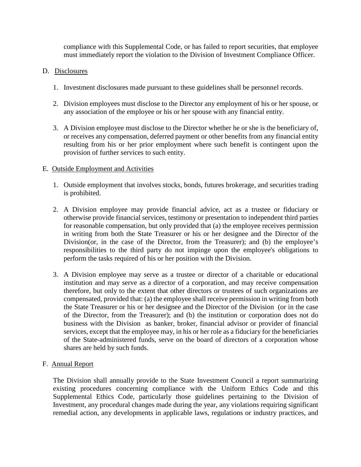compliance with this Supplemental Code, or has failed to report securities, that employee must immediately report the violation to the Division of Investment Compliance Officer.

### D. Disclosures

- 1. Investment disclosures made pursuant to these guidelines shall be personnel records.
- 2. Division employees must disclose to the Director any employment of his or her spouse, or any association of the employee or his or her spouse with any financial entity.
- 3. A Division employee must disclose to the Director whether he or she is the beneficiary of, or receives any compensation, deferred payment or other benefits from any financial entity resulting from his or her prior employment where such benefit is contingent upon the provision of further services to such entity.

### E. Outside Employment and Activities

- 1. Outside employment that involves stocks, bonds, futures brokerage, and securities trading is prohibited.
- 2. A Division employee may provide financial advice, act as a trustee or fiduciary or otherwise provide financial services, testimony or presentation to independent third parties for reasonable compensation, but only provided that (a) the employee receives permission in writing from both the State Treasurer or his or her designee and the Director of the Division(or, in the case of the Director, from the Treasurer); and (b) the employee's responsibilities to the third party do not impinge upon the employee's obligations to perform the tasks required of his or her position with the Division.
- 3. A Division employee may serve as a trustee or director of a charitable or educational institution and may serve as a director of a corporation, and may receive compensation therefore, but only to the extent that other directors or trustees of such organizations are compensated, provided that: (a) the employee shall receive permission in writing from both the State Treasurer or his or her designee and the Director of the Division (or in the case of the Director, from the Treasurer); and (b) the institution or corporation does not do business with the Division as banker, broker, financial advisor or provider of financial services, except that the employee may, in his or her role as a fiduciary for the beneficiaries of the State-administered funds, serve on the board of directors of a corporation whose shares are held by such funds.

## F. Annual Report

The Division shall annually provide to the State Investment Council a report summarizing existing procedures concerning compliance with the Uniform Ethics Code and this Supplemental Ethics Code, particularly those guidelines pertaining to the Division of Investment, any procedural changes made during the year, any violations requiring significant remedial action, any developments in applicable laws, regulations or industry practices, and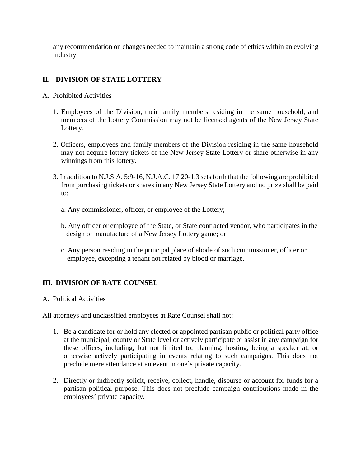any recommendation on changes needed to maintain a strong code of ethics within an evolving industry.

# **II. DIVISION OF STATE LOTTERY**

## A. Prohibited Activities

- 1. Employees of the Division, their family members residing in the same household, and members of the Lottery Commission may not be licensed agents of the New Jersey State Lottery.
- 2. Officers, employees and family members of the Division residing in the same household may not acquire lottery tickets of the New Jersey State Lottery or share otherwise in any winnings from this lottery.
- 3. In addition to N.J.S.A. 5:9-16, N.J.A.C. 17:20-1.3 sets forth that the following are prohibited from purchasing tickets or shares in any New Jersey State Lottery and no prize shall be paid to:
	- a. Any commissioner, officer, or employee of the Lottery;
	- b. Any officer or employee of the State, or State contracted vendor, who participates in the design or manufacture of a New Jersey Lottery game; or
	- c. Any person residing in the principal place of abode of such commissioner, officer or employee, excepting a tenant not related by blood or marriage.

# **III. DIVISION OF RATE COUNSEL**

## A. Political Activities

All attorneys and unclassified employees at Rate Counsel shall not:

- 1. Be a candidate for or hold any elected or appointed partisan public or political party office at the municipal, county or State level or actively participate or assist in any campaign for these offices, including, but not limited to, planning, hosting, being a speaker at, or otherwise actively participating in events relating to such campaigns. This does not preclude mere attendance at an event in one's private capacity.
- 2. Directly or indirectly solicit, receive, collect, handle, disburse or account for funds for a partisan political purpose. This does not preclude campaign contributions made in the employees' private capacity.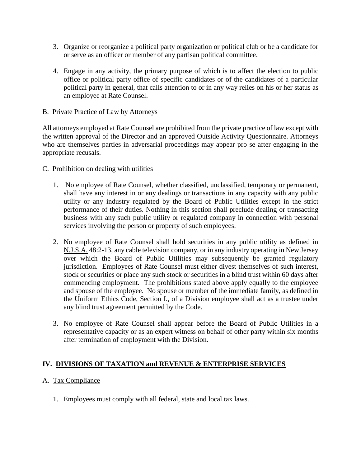- 3. Organize or reorganize a political party organization or political club or be a candidate for or serve as an officer or member of any partisan political committee.
- 4. Engage in any activity, the primary purpose of which is to affect the election to public office or political party office of specific candidates or of the candidates of a particular political party in general, that calls attention to or in any way relies on his or her status as an employee at Rate Counsel.

### B. Private Practice of Law by Attorneys

All attorneys employed at Rate Counsel are prohibited from the private practice of law except with the written approval of the Director and an approved Outside Activity Questionnaire. Attorneys who are themselves parties in adversarial proceedings may appear pro se after engaging in the appropriate recusals.

### C. Prohibition on dealing with utilities

- 1. No employee of Rate Counsel, whether classified, unclassified, temporary or permanent, shall have any interest in or any dealings or transactions in any capacity with any public utility or any industry regulated by the Board of Public Utilities except in the strict performance of their duties. Nothing in this section shall preclude dealing or transacting business with any such public utility or regulated company in connection with personal services involving the person or property of such employees.
- 2. No employee of Rate Counsel shall hold securities in any public utility as defined in N.J.S.A. 48:2-13, any cable television company, or in any industry operating in New Jersey over which the Board of Public Utilities may subsequently be granted regulatory jurisdiction. Employees of Rate Counsel must either divest themselves of such interest, stock or securities or place any such stock or securities in a blind trust within 60 days after commencing employment. The prohibitions stated above apply equally to the employee and spouse of the employee. No spouse or member of the immediate family, as defined in the Uniform Ethics Code, Section I., of a Division employee shall act as a trustee under any blind trust agreement permitted by the Code.
- 3. No employee of Rate Counsel shall appear before the Board of Public Utilities in a representative capacity or as an expert witness on behalf of other party within six months after termination of employment with the Division.

## **IV. DIVISIONS OF TAXATION and REVENUE & ENTERPRISE SERVICES**

## A. Tax Compliance

1. Employees must comply with all federal, state and local tax laws.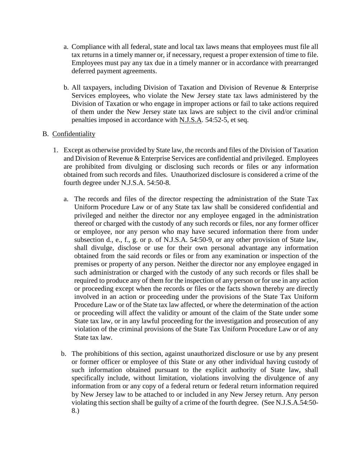- a. Compliance with all federal, state and local tax laws means that employees must file all tax returns in a timely manner or, if necessary, request a proper extension of time to file. Employees must pay any tax due in a timely manner or in accordance with prearranged deferred payment agreements.
- b. All taxpayers, including Division of Taxation and Division of Revenue & Enterprise Services employees, who violate the New Jersey state tax laws administered by the Division of Taxation or who engage in improper actions or fail to take actions required of them under the New Jersey state tax laws are subject to the civil and/or criminal penalties imposed in accordance with N.J.S.A. 54:52-5, et seq.

### B. Confidentiality

- 1. Except as otherwise provided by State law, the records and files of the Division of Taxation and Division of Revenue & Enterprise Services are confidential and privileged. Employees are prohibited from divulging or disclosing such records or files or any information obtained from such records and files. Unauthorized disclosure is considered a crime of the fourth degree under N.J.S.A. 54:50-8.
	- a. The records and files of the director respecting the administration of the State Tax Uniform Procedure Law or of any State tax law shall be considered confidential and privileged and neither the director nor any employee engaged in the administration thereof or charged with the custody of any such records or files, nor any former officer or employee, nor any person who may have secured information there from under subsection d., e., f., g. or p. of N.J.S.A. 54:50-9, or any other provision of State law, shall divulge, disclose or use for their own personal advantage any information obtained from the said records or files or from any examination or inspection of the premises or property of any person. Neither the director nor any employee engaged in such administration or charged with the custody of any such records or files shall be required to produce any of them for the inspection of any person or for use in any action or proceeding except when the records or files or the facts shown thereby are directly involved in an action or proceeding under the provisions of the State Tax Uniform Procedure Law or of the State tax law affected, or where the determination of the action or proceeding will affect the validity or amount of the claim of the State under some State tax law, or in any lawful proceeding for the investigation and prosecution of any violation of the criminal provisions of the State Tax Uniform Procedure Law or of any State tax law.
	- b. The prohibitions of this section, against unauthorized disclosure or use by any present or former officer or employee of this State or any other individual having custody of such information obtained pursuant to the explicit authority of State law, shall specifically include, without limitation, violations involving the divulgence of any information from or any copy of a federal return or federal return information required by New Jersey law to be attached to or included in any New Jersey return. Any person violating this section shall be guilty of a crime of the fourth degree. (See N.J.S.A.54:50- 8.)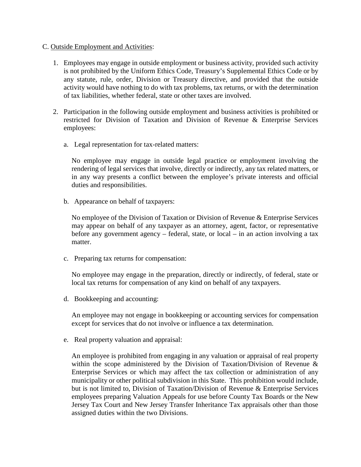#### C. Outside Employment and Activities:

- 1. Employees may engage in outside employment or business activity, provided such activity is not prohibited by the Uniform Ethics Code, Treasury's Supplemental Ethics Code or by any statute, rule, order, Division or Treasury directive, and provided that the outside activity would have nothing to do with tax problems, tax returns, or with the determination of tax liabilities, whether federal, state or other taxes are involved.
- 2. Participation in the following outside employment and business activities is prohibited or restricted for Division of Taxation and Division of Revenue & Enterprise Services employees:
	- a. Legal representation for tax-related matters:

No employee may engage in outside legal practice or employment involving the rendering of legal services that involve, directly or indirectly, any tax related matters, or in any way presents a conflict between the employee's private interests and official duties and responsibilities.

b. Appearance on behalf of taxpayers:

No employee of the Division of Taxation or Division of Revenue & Enterprise Services may appear on behalf of any taxpayer as an attorney, agent, factor, or representative before any government agency – federal, state, or local – in an action involving a tax matter.

c. Preparing tax returns for compensation:

No employee may engage in the preparation, directly or indirectly, of federal, state or local tax returns for compensation of any kind on behalf of any taxpayers.

d. Bookkeeping and accounting:

An employee may not engage in bookkeeping or accounting services for compensation except for services that do not involve or influence a tax determination.

e. Real property valuation and appraisal:

An employee is prohibited from engaging in any valuation or appraisal of real property within the scope administered by the Division of Taxation/Division of Revenue & Enterprise Services or which may affect the tax collection or administration of any municipality or other political subdivision in this State. This prohibition would include, but is not limited to, Division of Taxation/Division of Revenue & Enterprise Services employees preparing Valuation Appeals for use before County Tax Boards or the New Jersey Tax Court and New Jersey Transfer Inheritance Tax appraisals other than those assigned duties within the two Divisions.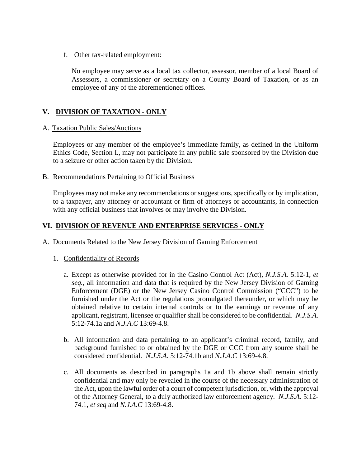f. Other tax-related employment:

No employee may serve as a local tax collector, assessor, member of a local Board of Assessors, a commissioner or secretary on a County Board of Taxation, or as an employee of any of the aforementioned offices.

# **V. DIVISION OF TAXATION - ONLY**

### A. Taxation Public Sales/Auctions

Employees or any member of the employee's immediate family, as defined in the Uniform Ethics Code, Section I., may not participate in any public sale sponsored by the Division due to a seizure or other action taken by the Division.

### B. Recommendations Pertaining to Official Business

Employees may not make any recommendations or suggestions, specifically or by implication, to a taxpayer, any attorney or accountant or firm of attorneys or accountants, in connection with any official business that involves or may involve the Division.

## **VI. DIVISION OF REVENUE AND ENTERPRISE SERVICES - ONLY**

- A. Documents Related to the New Jersey Division of Gaming Enforcement
	- 1. Confidentiality of Records
		- a. Except as otherwise provided for in the Casino Control Act (Act), *N.J.S.A.* 5:12-1, *et seq.*, all information and data that is required by the New Jersey Division of Gaming Enforcement (DGE) or the New Jersey Casino Control Commission ("CCC") to be furnished under the Act or the regulations promulgated thereunder, or which may be obtained relative to certain internal controls or to the earnings or revenue of any applicant, registrant, licensee or qualifier shall be considered to be confidential. *N.J.S.A.* 5:12-74.1a and *N.J.A.C* 13:69-4.8.
		- b. All information and data pertaining to an applicant's criminal record, family, and background furnished to or obtained by the DGE or CCC from any source shall be considered confidential. *N.J.S.A.* 5:12-74.1b and *N.J.A.C* 13:69-4.8.
		- c. All documents as described in paragraphs 1a and 1b above shall remain strictly confidential and may only be revealed in the course of the necessary administration of the Act, upon the lawful order of a court of competent jurisdiction, or, with the approval of the Attorney General, to a duly authorized law enforcement agency. *N.J.S.A.* 5:12- 74.1, *et seq* and *N.J.A.C* 13:69-4.8.